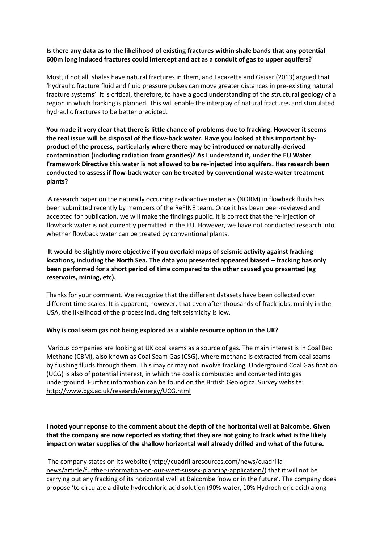## **Is there any data as to the likelihood of existing fractures within shale bands that any potential 600m long induced fractures could intercept and act as a conduit of gas to upper aquifers?**

Most, if not all, shales have natural fractures in them, and Lacazette and Geiser (2013) argued that 'hydraulic fracture fluid and fluid pressure pulses can move greater distances in pre-existing natural fracture systems'. It is critical, therefore, to have a good understanding of the structural geology of a region in which fracking is planned. This will enable the interplay of natural fractures and stimulated hydraulic fractures to be better predicted.

**You made it very clear that there is little chance of problems due to fracking. However it seems the real issue will be disposal of the flow-back water. Have you looked at this important byproduct of the process, particularly where there may be introduced or naturally-derived contamination (including radiation from granites)? As I understand it, under the EU Water Framework Directive this water is not allowed to be re-injected into aquifers. Has research been conducted to assess if flow-back water can be treated by conventional waste-water treatment plants?**

A research paper on the naturally occurring radioactive materials (NORM) in flowback fluids has been submitted recently by members of the ReFINE team. Once it has been peer-reviewed and accepted for publication, we will make the findings public. It is correct that the re-injection of flowback water is not currently permitted in the EU. However, we have not conducted research into whether flowback water can be treated by conventional plants.

**It would be slightly more objective if you overlaid maps of seismic activity against fracking locations, including the North Sea. The data you presented appeared biased – fracking has only been performed for a short period of time compared to the other caused you presented (eg reservoirs, mining, etc).**

Thanks for your comment. We recognize that the different datasets have been collected over different time scales. It is apparent, however, that even after thousands of frack jobs, mainly in the USA, the likelihood of the process inducing felt seismicity is low.

## **Why is coal seam gas not being explored as a viable resource option in the UK?**

Various companies are looking at UK coal seams as a source of gas. The main interest is in Coal Bed Methane (CBM), also known as Coal Seam Gas (CSG), where methane is extracted from coal seams by flushing fluids through them. This may or may not involve fracking. Underground Coal Gasification (UCG) is also of potential interest, in which the coal is combusted and converted into gas underground. Further information can be found on the British Geological Survey website: <http://www.bgs.ac.uk/research/energy/UCG.html>

**I noted your reponse to the comment about the depth of the horizontal well at Balcombe. Given that the company are now reported as stating that they are not going to frack what is the likely impact on water supplies of the shallow horizontal well already drilled and what of the future.**

The company states on its website [\(http://cuadrillaresources.com/news/cuadrilla](http://cuadrillaresources.com/news/cuadrilla-news/article/further-information-on-our-west-sussex-planning-application/)[news/article/further-information-on-our-west-sussex-planning-application/\)](http://cuadrillaresources.com/news/cuadrilla-news/article/further-information-on-our-west-sussex-planning-application/) that it will not be carrying out any fracking of its horizontal well at Balcombe 'now or in the future'. The company does propose 'to circulate a dilute hydrochloric acid solution (90% water, 10% Hydrochloric acid) along